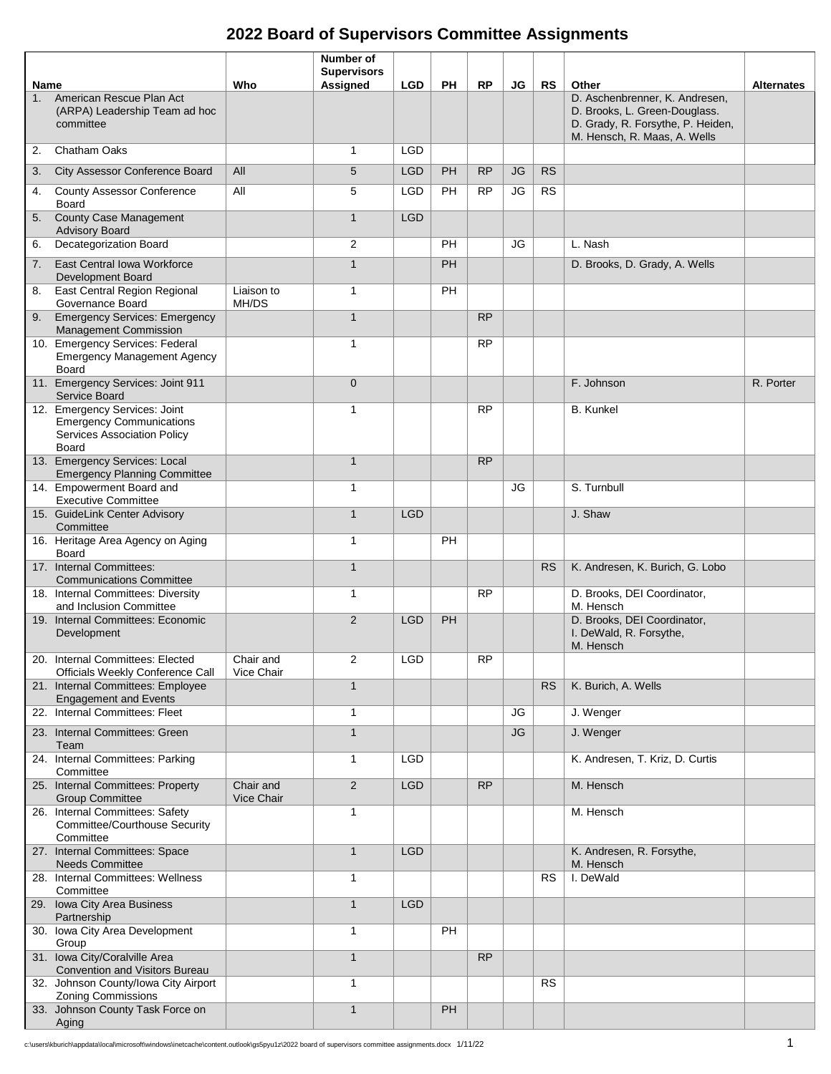## **2022 Board of Supervisors Committee Assignments**

|      |                                                                                                                 |                         | Number of<br><b>Supervisors</b> |            |           |           |           |           |                                                                                                                                      |                   |
|------|-----------------------------------------------------------------------------------------------------------------|-------------------------|---------------------------------|------------|-----------|-----------|-----------|-----------|--------------------------------------------------------------------------------------------------------------------------------------|-------------------|
| Name |                                                                                                                 | Who                     | Assigned                        | <b>LGD</b> | PH        | <b>RP</b> | JG        | <b>RS</b> | Other                                                                                                                                | <b>Alternates</b> |
| 1.   | American Rescue Plan Act<br>(ARPA) Leadership Team ad hoc<br>committee                                          |                         |                                 |            |           |           |           |           | D. Aschenbrenner, K. Andresen,<br>D. Brooks, L. Green-Douglass.<br>D. Grady, R. Forsythe, P. Heiden,<br>M. Hensch, R. Maas, A. Wells |                   |
| 2.   | Chatham Oaks                                                                                                    |                         | $\mathbf{1}$                    | <b>LGD</b> |           |           |           |           |                                                                                                                                      |                   |
| 3.   | City Assessor Conference Board                                                                                  | All                     | 5                               | <b>LGD</b> | <b>PH</b> | <b>RP</b> | JG        | <b>RS</b> |                                                                                                                                      |                   |
| 4.   | <b>County Assessor Conference</b><br><b>Board</b>                                                               | All                     | 5                               | <b>LGD</b> | PH        | <b>RP</b> | JG        | <b>RS</b> |                                                                                                                                      |                   |
|      | 5. County Case Management<br><b>Advisory Board</b>                                                              |                         | $\mathbf{1}$                    | <b>LGD</b> |           |           |           |           |                                                                                                                                      |                   |
| 6.   | Decategorization Board                                                                                          |                         | 2                               |            | PH        |           | JG        |           | L. Nash                                                                                                                              |                   |
| 7.   | East Central Iowa Workforce<br><b>Development Board</b>                                                         |                         | $\mathbf{1}$                    |            | <b>PH</b> |           |           |           | D. Brooks, D. Grady, A. Wells                                                                                                        |                   |
| 8.   | East Central Region Regional<br>Governance Board                                                                | Liaison to<br>MH/DS     | $\mathbf{1}$                    |            | PH        |           |           |           |                                                                                                                                      |                   |
| 9.   | <b>Emergency Services: Emergency</b><br>Management Commission                                                   |                         | $\mathbf{1}$                    |            |           | <b>RP</b> |           |           |                                                                                                                                      |                   |
|      | 10. Emergency Services: Federal<br><b>Emergency Management Agency</b><br><b>Board</b>                           |                         | $\mathbf{1}$                    |            |           | <b>RP</b> |           |           |                                                                                                                                      |                   |
|      | 11. Emergency Services: Joint 911<br>Service Board                                                              |                         | $\mathbf 0$                     |            |           |           |           |           | F. Johnson                                                                                                                           | R. Porter         |
|      | 12. Emergency Services: Joint<br><b>Emergency Communications</b><br>Services Association Policy<br><b>Board</b> |                         | $\mathbf{1}$                    |            |           | <b>RP</b> |           |           | <b>B.</b> Kunkel                                                                                                                     |                   |
|      | 13. Emergency Services: Local<br><b>Emergency Planning Committee</b>                                            |                         | $\mathbf{1}$                    |            |           | <b>RP</b> |           |           |                                                                                                                                      |                   |
|      | 14. Empowerment Board and<br><b>Executive Committee</b>                                                         |                         | 1                               |            |           |           | JG        |           | S. Turnbull                                                                                                                          |                   |
|      | 15. GuideLink Center Advisory<br>Committee                                                                      |                         | $\mathbf{1}$                    | <b>LGD</b> |           |           |           |           | J. Shaw                                                                                                                              |                   |
|      | 16. Heritage Area Agency on Aging<br>Board                                                                      |                         | $\mathbf{1}$                    |            | PH        |           |           |           |                                                                                                                                      |                   |
|      | 17. Internal Committees:<br><b>Communications Committee</b>                                                     |                         | $\mathbf{1}$                    |            |           |           |           | <b>RS</b> | K. Andresen, K. Burich, G. Lobo                                                                                                      |                   |
|      | 18. Internal Committees: Diversity<br>and Inclusion Committee                                                   |                         | 1                               |            |           | <b>RP</b> |           |           | D. Brooks, DEI Coordinator,<br>M. Hensch                                                                                             |                   |
|      | 19. Internal Committees: Economic<br>Development                                                                |                         | 2                               | <b>LGD</b> | PH        |           |           |           | D. Brooks, DEI Coordinator,<br>I. DeWald, R. Forsythe,<br>M. Hensch                                                                  |                   |
|      | 20. Internal Committees: Elected<br><b>Officials Weekly Conference Call</b>                                     | Chair and<br>Vice Chair | 2                               | LGD        |           | <b>RP</b> |           |           |                                                                                                                                      |                   |
|      | 21. Internal Committees: Employee<br><b>Engagement and Events</b>                                               |                         | $\mathbf{1}$                    |            |           |           |           | <b>RS</b> | K. Burich, A. Wells                                                                                                                  |                   |
|      | 22. Internal Committees: Fleet                                                                                  |                         | $\mathbf{1}$                    |            |           |           | JG        |           | J. Wenger                                                                                                                            |                   |
|      | 23. Internal Committees: Green<br>Team                                                                          |                         | $\mathbf{1}$                    |            |           |           | <b>JG</b> |           | J. Wenger                                                                                                                            |                   |
|      | 24. Internal Committees: Parking<br>Committee                                                                   |                         | $\mathbf{1}$                    | <b>LGD</b> |           |           |           |           | K. Andresen, T. Kriz, D. Curtis                                                                                                      |                   |
|      | 25. Internal Committees: Property<br><b>Group Committee</b>                                                     | Chair and<br>Vice Chair | $\overline{2}$                  | <b>LGD</b> |           | <b>RP</b> |           |           | M. Hensch                                                                                                                            |                   |
|      | 26. Internal Committees: Safety<br>Committee/Courthouse Security<br>Committee                                   |                         | $\mathbf{1}$                    |            |           |           |           |           | M. Hensch                                                                                                                            |                   |
|      | 27. Internal Committees: Space<br><b>Needs Committee</b>                                                        |                         | $\mathbf{1}$                    | <b>LGD</b> |           |           |           |           | K. Andresen, R. Forsythe,<br>M. Hensch                                                                                               |                   |
|      | 28. Internal Committees: Wellness<br>Committee                                                                  |                         | 1                               |            |           |           |           | <b>RS</b> | I. DeWald                                                                                                                            |                   |
|      | 29. Iowa City Area Business<br>Partnership                                                                      |                         | $\mathbf{1}$                    | <b>LGD</b> |           |           |           |           |                                                                                                                                      |                   |
|      | 30. Iowa City Area Development<br>Group                                                                         |                         | $\mathbf{1}$                    |            | PH        |           |           |           |                                                                                                                                      |                   |
|      | 31. Iowa City/Coralville Area<br><b>Convention and Visitors Bureau</b>                                          |                         | $\mathbf{1}$                    |            |           | <b>RP</b> |           |           |                                                                                                                                      |                   |
|      | 32. Johnson County/Iowa City Airport<br>Zoning Commissions                                                      |                         | 1                               |            |           |           |           | <b>RS</b> |                                                                                                                                      |                   |
|      | 33. Johnson County Task Force on<br>Aging                                                                       |                         | $\mathbf{1}$                    |            | PH        |           |           |           |                                                                                                                                      |                   |